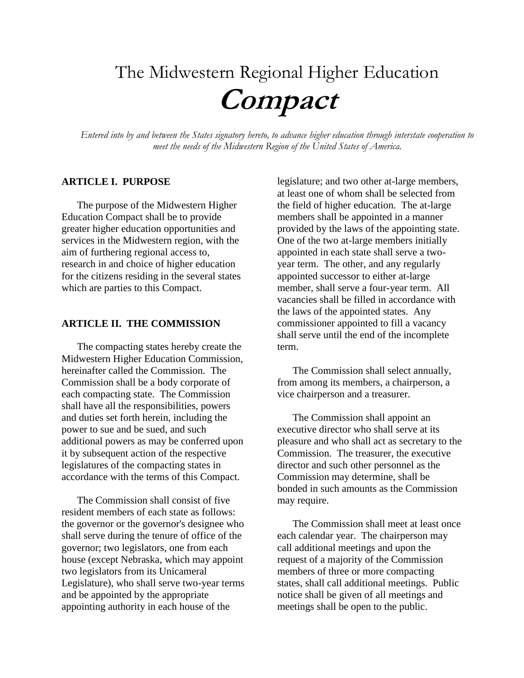# The Midwestern Regional Higher Education **Compact**

*Entered into by and between the States signatory hereto, to advance higher education through interstate cooperation to meet the needs of the Midwestern Region of the United States of America.*

#### **ARTICLE I. PURPOSE**

The purpose of the Midwestern Higher Education Compact shall be to provide greater higher education opportunities and services in the Midwestern region, with the aim of furthering regional access to, research in and choice of higher education for the citizens residing in the several states which are parties to this Compact.

#### **ARTICLE II. THE COMMISSION**

The compacting states hereby create the Midwestern Higher Education Commission, hereinafter called the Commission. The Commission shall be a body corporate of each compacting state. The Commission shall have all the responsibilities, powers and duties set forth herein, including the power to sue and be sued, and such additional powers as may be conferred upon it by subsequent action of the respective legislatures of the compacting states in accordance with the terms of this Compact.

The Commission shall consist of five resident members of each state as follows: the governor or the governor's designee who shall serve during the tenure of office of the governor; two legislators, one from each house (except Nebraska, which may appoint two legislators from its Unicameral Legislature), who shall serve two-year terms and be appointed by the appropriate appointing authority in each house of the

legislature; and two other at-large members, at least one of whom shall be selected from the field of higher education. The at-large members shall be appointed in a manner provided by the laws of the appointing state. One of the two at-large members initially appointed in each state shall serve a twoyear term. The other, and any regularly appointed successor to either at-large member, shall serve a four-year term. All vacancies shall be filled in accordance with the laws of the appointed states. Any commissioner appointed to fill a vacancy shall serve until the end of the incomplete term.

The Commission shall select annually, from among its members, a chairperson, a vice chairperson and a treasurer.

The Commission shall appoint an executive director who shall serve at its pleasure and who shall act as secretary to the Commission. The treasurer, the executive director and such other personnel as the Commission may determine, shall be bonded in such amounts as the Commission may require.

The Commission shall meet at least once each calendar year. The chairperson may call additional meetings and upon the request of a majority of the Commission members of three or more compacting states, shall call additional meetings. Public notice shall be given of all meetings and meetings shall be open to the public.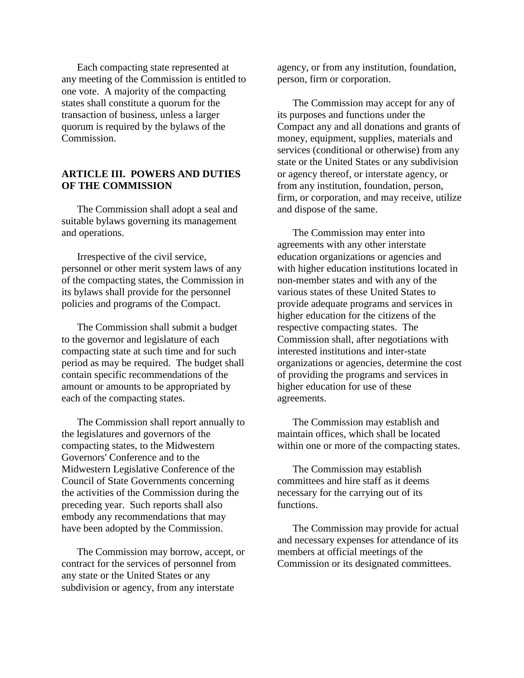Each compacting state represented at any meeting of the Commission is entitled to one vote. A majority of the compacting states shall constitute a quorum for the transaction of business, unless a larger quorum is required by the bylaws of the Commission.

### **ARTICLE III. POWERS AND DUTIES OF THE COMMISSION**

The Commission shall adopt a seal and suitable bylaws governing its management and operations.

Irrespective of the civil service, personnel or other merit system laws of any of the compacting states, the Commission in its bylaws shall provide for the personnel policies and programs of the Compact.

The Commission shall submit a budget to the governor and legislature of each compacting state at such time and for such period as may be required. The budget shall contain specific recommendations of the amount or amounts to be appropriated by each of the compacting states.

The Commission shall report annually to the legislatures and governors of the compacting states, to the Midwestern Governors' Conference and to the Midwestern Legislative Conference of the Council of State Governments concerning the activities of the Commission during the preceding year. Such reports shall also embody any recommendations that may have been adopted by the Commission.

The Commission may borrow, accept, or contract for the services of personnel from any state or the United States or any subdivision or agency, from any interstate

agency, or from any institution, foundation, person, firm or corporation.

The Commission may accept for any of its purposes and functions under the Compact any and all donations and grants of money, equipment, supplies, materials and services (conditional or otherwise) from any state or the United States or any subdivision or agency thereof, or interstate agency, or from any institution, foundation, person, firm, or corporation, and may receive, utilize and dispose of the same.

The Commission may enter into agreements with any other interstate education organizations or agencies and with higher education institutions located in non-member states and with any of the various states of these United States to provide adequate programs and services in higher education for the citizens of the respective compacting states. The Commission shall, after negotiations with interested institutions and inter-state organizations or agencies, determine the cost of providing the programs and services in higher education for use of these agreements.

The Commission may establish and maintain offices, which shall be located within one or more of the compacting states.

The Commission may establish committees and hire staff as it deems necessary for the carrying out of its functions.

The Commission may provide for actual and necessary expenses for attendance of its members at official meetings of the Commission or its designated committees.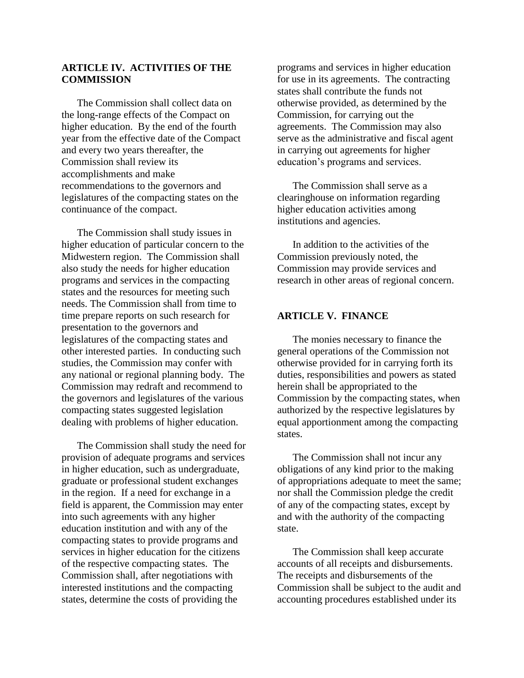## **ARTICLE IV. ACTIVITIES OF THE COMMISSION**

The Commission shall collect data on the long-range effects of the Compact on higher education. By the end of the fourth year from the effective date of the Compact and every two years thereafter, the Commission shall review its accomplishments and make recommendations to the governors and legislatures of the compacting states on the continuance of the compact.

The Commission shall study issues in higher education of particular concern to the Midwestern region. The Commission shall also study the needs for higher education programs and services in the compacting states and the resources for meeting such needs. The Commission shall from time to time prepare reports on such research for presentation to the governors and legislatures of the compacting states and other interested parties. In conducting such studies, the Commission may confer with any national or regional planning body. The Commission may redraft and recommend to the governors and legislatures of the various compacting states suggested legislation dealing with problems of higher education.

The Commission shall study the need for provision of adequate programs and services in higher education, such as undergraduate, graduate or professional student exchanges in the region. If a need for exchange in a field is apparent, the Commission may enter into such agreements with any higher education institution and with any of the compacting states to provide programs and services in higher education for the citizens of the respective compacting states. The Commission shall, after negotiations with interested institutions and the compacting states, determine the costs of providing the

programs and services in higher education for use in its agreements. The contracting states shall contribute the funds not otherwise provided, as determined by the Commission, for carrying out the agreements. The Commission may also serve as the administrative and fiscal agent in carrying out agreements for higher education's programs and services.

The Commission shall serve as a clearinghouse on information regarding higher education activities among institutions and agencies.

In addition to the activities of the Commission previously noted, the Commission may provide services and research in other areas of regional concern.

### **ARTICLE V. FINANCE**

The monies necessary to finance the general operations of the Commission not otherwise provided for in carrying forth its duties, responsibilities and powers as stated herein shall be appropriated to the Commission by the compacting states, when authorized by the respective legislatures by equal apportionment among the compacting states.

The Commission shall not incur any obligations of any kind prior to the making of appropriations adequate to meet the same; nor shall the Commission pledge the credit of any of the compacting states, except by and with the authority of the compacting state.

The Commission shall keep accurate accounts of all receipts and disbursements. The receipts and disbursements of the Commission shall be subject to the audit and accounting procedures established under its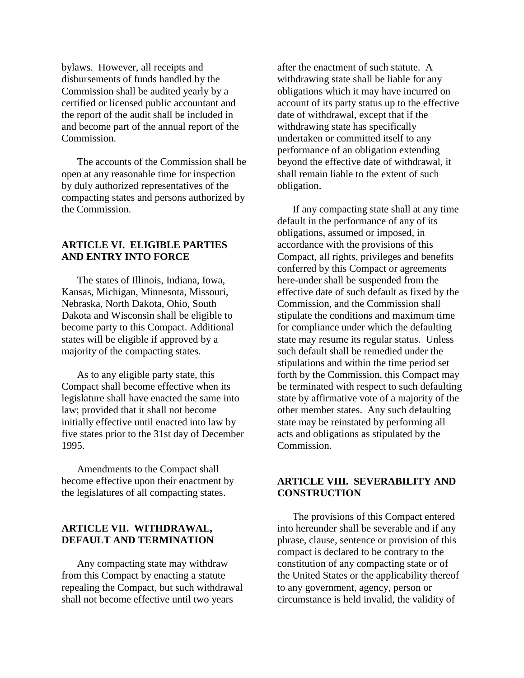bylaws. However, all receipts and disbursements of funds handled by the Commission shall be audited yearly by a certified or licensed public accountant and the report of the audit shall be included in and become part of the annual report of the Commission.

The accounts of the Commission shall be open at any reasonable time for inspection by duly authorized representatives of the compacting states and persons authorized by the Commission.

### **ARTICLE VI. ELIGIBLE PARTIES AND ENTRY INTO FORCE**

The states of Illinois, Indiana, Iowa, Kansas, Michigan, Minnesota, Missouri, Nebraska, North Dakota, Ohio, South Dakota and Wisconsin shall be eligible to become party to this Compact. Additional states will be eligible if approved by a majority of the compacting states.

As to any eligible party state, this Compact shall become effective when its legislature shall have enacted the same into law; provided that it shall not become initially effective until enacted into law by five states prior to the 31st day of December 1995.

Amendments to the Compact shall become effective upon their enactment by the legislatures of all compacting states.

### **ARTICLE VII. WITHDRAWAL, DEFAULT AND TERMINATION**

Any compacting state may withdraw from this Compact by enacting a statute repealing the Compact, but such withdrawal shall not become effective until two years

after the enactment of such statute. A withdrawing state shall be liable for any obligations which it may have incurred on account of its party status up to the effective date of withdrawal, except that if the withdrawing state has specifically undertaken or committed itself to any performance of an obligation extending beyond the effective date of withdrawal, it shall remain liable to the extent of such obligation.

If any compacting state shall at any time default in the performance of any of its obligations, assumed or imposed, in accordance with the provisions of this Compact, all rights, privileges and benefits conferred by this Compact or agreements here-under shall be suspended from the effective date of such default as fixed by the Commission, and the Commission shall stipulate the conditions and maximum time for compliance under which the defaulting state may resume its regular status. Unless such default shall be remedied under the stipulations and within the time period set forth by the Commission, this Compact may be terminated with respect to such defaulting state by affirmative vote of a majority of the other member states. Any such defaulting state may be reinstated by performing all acts and obligations as stipulated by the Commission.

#### **ARTICLE VIII. SEVERABILITY AND CONSTRUCTION**

The provisions of this Compact entered into hereunder shall be severable and if any phrase, clause, sentence or provision of this compact is declared to be contrary to the constitution of any compacting state or of the United States or the applicability thereof to any government, agency, person or circumstance is held invalid, the validity of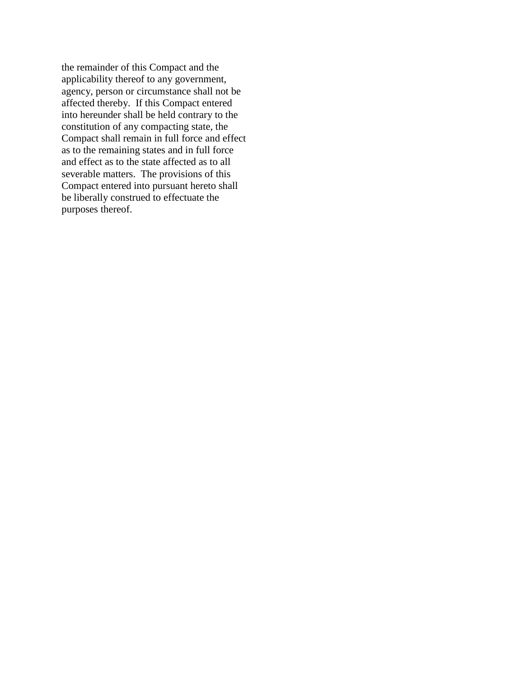the remainder of this Compact and the applicability thereof to any government, agency, person or circumstance shall not be affected thereby. If this Compact entered into hereunder shall be held contrary to the constitution of any compacting state, the Compact shall remain in full force and effect as to the remaining states and in full force and effect as to the state affected as to all severable matters. The provisions of this Compact entered into pursuant hereto shall be liberally construed to effectuate the purposes thereof.